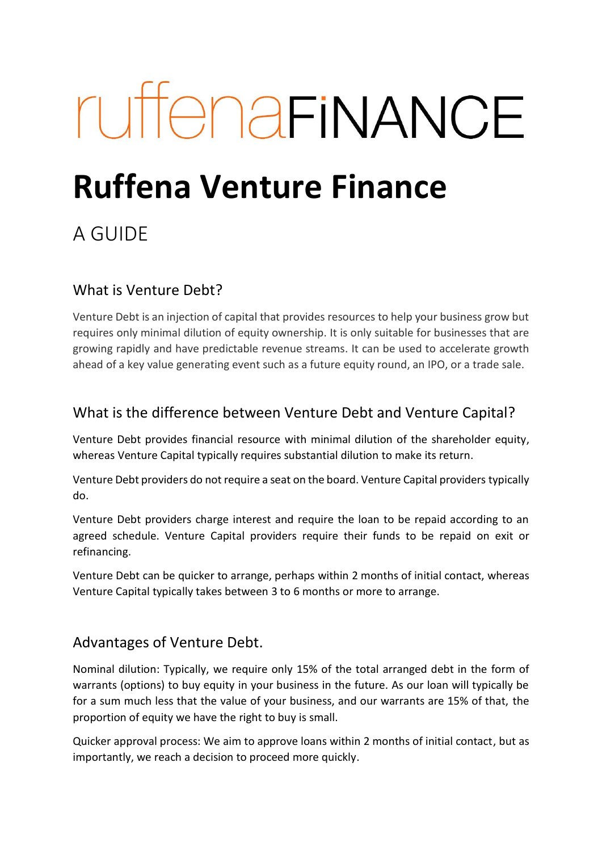# ruffenariNANCE

## **Ruffena Venture Finance**

### A GUIDE

#### What is Venture Debt?

Venture Debt is an injection of capital that provides resources to help your business grow but requires only minimal dilution of equity ownership. It is only suitable for businesses that are growing rapidly and have predictable revenue streams. It can be used to accelerate growth ahead of a key value generating event such as a future equity round, an IPO, or a trade sale.

#### What is the difference between Venture Debt and Venture Capital?

Venture Debt provides financial resource with minimal dilution of the shareholder equity, whereas Venture Capital typically requires substantial dilution to make its return.

Venture Debt providers do not require a seat on the board. Venture Capital providers typically do.

Venture Debt providers charge interest and require the loan to be repaid according to an agreed schedule. Venture Capital providers require their funds to be repaid on exit or refinancing.

Venture Debt can be quicker to arrange, perhaps within 2 months of initial contact, whereas Venture Capital typically takes between 3 to 6 months or more to arrange.

#### Advantages of Venture Debt.

Nominal dilution: Typically, we require only 15% of the total arranged debt in the form of warrants (options) to buy equity in your business in the future. As our loan will typically be for a sum much less that the value of your business, and our warrants are 15% of that, the proportion of equity we have the right to buy is small.

Quicker approval process: We aim to approve loans within 2 months of initial contact, but as importantly, we reach a decision to proceed more quickly.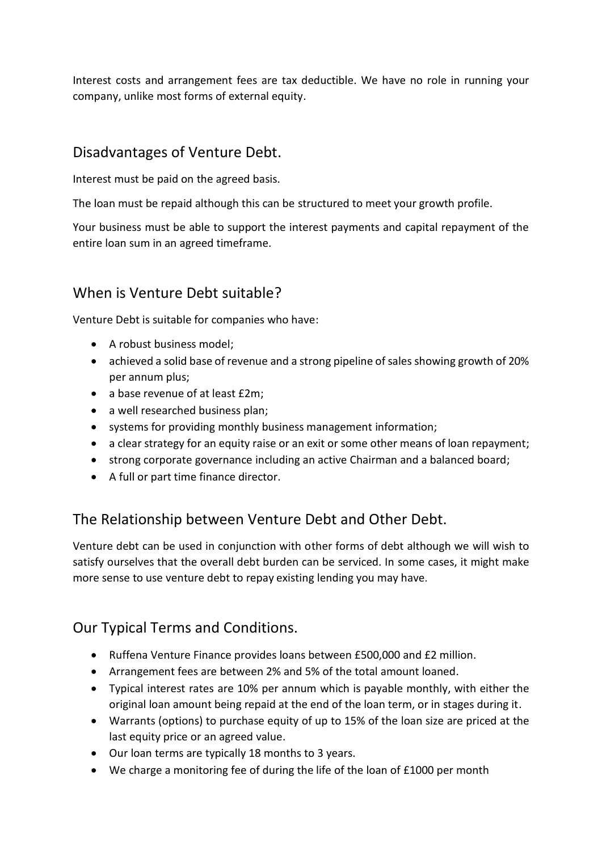Interest costs and arrangement fees are tax deductible. We have no role in running your company, unlike most forms of external equity.

#### Disadvantages of Venture Debt.

Interest must be paid on the agreed basis.

The loan must be repaid although this can be structured to meet your growth profile.

Your business must be able to support the interest payments and capital repayment of the entire loan sum in an agreed timeframe.

#### When is Venture Debt suitable?

Venture Debt is suitable for companies who have:

- A robust business model;
- achieved a solid base of revenue and a strong pipeline of sales showing growth of 20% per annum plus;
- a base revenue of at least £2m;
- a well researched business plan;
- systems for providing monthly business management information;
- a clear strategy for an equity raise or an exit or some other means of loan repayment;
- strong corporate governance including an active Chairman and a balanced board;
- A full or part time finance director.

#### The Relationship between Venture Debt and Other Debt.

Venture debt can be used in conjunction with other forms of debt although we will wish to satisfy ourselves that the overall debt burden can be serviced. In some cases, it might make more sense to use venture debt to repay existing lending you may have.

#### Our Typical Terms and Conditions.

- Ruffena Venture Finance provides loans between £500,000 and £2 million.
- Arrangement fees are between 2% and 5% of the total amount loaned.
- Typical interest rates are 10% per annum which is payable monthly, with either the original loan amount being repaid at the end of the loan term, or in stages during it.
- Warrants (options) to purchase equity of up to 15% of the loan size are priced at the last equity price or an agreed value.
- Our loan terms are typically 18 months to 3 years.
- We charge a monitoring fee of during the life of the loan of £1000 per month